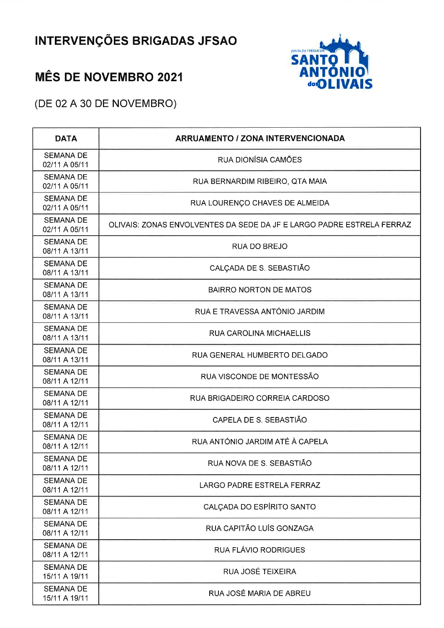## **INTERVENÇÕES BRIGADAS JFSAO**

## **MÊS DE NOVEMBRO 2021**



(DE 02 A 30 DE NOVEMBRO)

| <b>DATA</b>                       | <b>ARRUAMENTO / ZONA INTERVENCIONADA</b>                              |
|-----------------------------------|-----------------------------------------------------------------------|
| <b>SEMANA DE</b><br>02/11 A 05/11 | RUA DIONÍSIA CAMÕES                                                   |
| <b>SEMANA DE</b><br>02/11 A 05/11 | RUA BERNARDIM RIBEIRO, QTA MAIA                                       |
| <b>SEMANA DE</b><br>02/11 A 05/11 | RUA LOURENÇO CHAVES DE ALMEIDA                                        |
| <b>SEMANA DE</b><br>02/11 A 05/11 | OLIVAIS: ZONAS ENVOLVENTES DA SEDE DA JF E LARGO PADRE ESTRELA FERRAZ |
| <b>SEMANA DE</b><br>08/11 A 13/11 | <b>RUA DO BREJO</b>                                                   |
| <b>SEMANA DE</b><br>08/11 A 13/11 | CALÇADA DE S. SEBASTIÃO                                               |
| <b>SEMANA DE</b><br>08/11 A 13/11 | <b>BAIRRO NORTON DE MATOS</b>                                         |
| <b>SEMANA DE</b><br>08/11 A 13/11 | RUA E TRAVESSA ANTÓNIO JARDIM                                         |
| <b>SEMANA DE</b><br>08/11 A 13/11 | <b>RUA CAROLINA MICHAELLIS</b>                                        |
| <b>SEMANA DE</b><br>08/11 A 13/11 | RUA GENERAL HUMBERTO DELGADO                                          |
| <b>SEMANA DE</b><br>08/11 A 12/11 | RUA VISCONDE DE MONTESSÃO                                             |
| <b>SEMANA DE</b><br>08/11 A 12/11 | RUA BRIGADEIRO CORREIA CARDOSO                                        |
| <b>SEMANA DE</b><br>08/11 A 12/11 | CAPELA DE S. SEBASTIÃO                                                |
| <b>SEMANA DE</b><br>08/11 A 12/11 | RUA ANTÓNIO JARDIM ATÉ À CAPELA                                       |
| <b>SEMANA DE</b><br>08/11 A 12/11 | RUA NOVA DE S. SEBASTIÃO                                              |
| <b>SEMANA DE</b><br>08/11 A 12/11 | LARGO PADRE ESTRELA FERRAZ                                            |
| <b>SEMANA DE</b><br>08/11 A 12/11 | CALÇADA DO ESPÍRITO SANTO                                             |
| <b>SEMANA DE</b><br>08/11 A 12/11 | RUA CAPITÃO LUÍS GONZAGA                                              |
| <b>SEMANA DE</b><br>08/11 A 12/11 | <b>RUA FLÁVIO RODRIGUES</b>                                           |
| <b>SEMANA DE</b><br>15/11 A 19/11 | RUA JOSÉ TEIXEIRA                                                     |
| <b>SEMANA DE</b><br>15/11 A 19/11 | RUA JOSÉ MARIA DE ABREU                                               |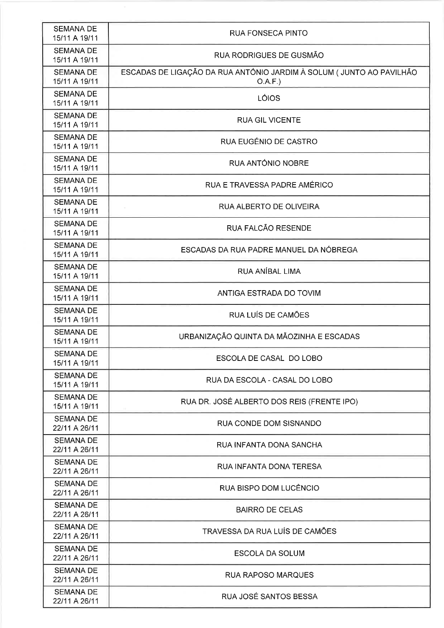| <b>SEMANA DE</b><br>15/11 A 19/11 | <b>RUA FONSECA PINTO</b>                                                       |
|-----------------------------------|--------------------------------------------------------------------------------|
| <b>SEMANA DE</b><br>15/11 A 19/11 | RUA RODRIGUES DE GUSMÃO                                                        |
| <b>SEMANA DE</b><br>15/11 A 19/11 | ESCADAS DE LIGAÇÃO DA RUA ANTÓNIO JARDIM À SOLUM (JUNTO AO PAVILHÃO<br>O.A.F.) |
| <b>SEMANA DE</b><br>15/11 A 19/11 | LÓIOS                                                                          |
| <b>SEMANA DE</b><br>15/11 A 19/11 | <b>RUA GIL VICENTE</b>                                                         |
| <b>SEMANA DE</b><br>15/11 A 19/11 | RUA EUGÉNIO DE CASTRO                                                          |
| <b>SEMANA DE</b><br>15/11 A 19/11 | <b>RUA ANTÓNIO NOBRE</b>                                                       |
| <b>SEMANA DE</b><br>15/11 A 19/11 | RUA E TRAVESSA PADRE AMÉRICO                                                   |
| <b>SEMANA DE</b><br>15/11 A 19/11 | RUA ALBERTO DE OLIVEIRA                                                        |
| <b>SEMANA DE</b><br>15/11 A 19/11 | RUA FALCÃO RESENDE                                                             |
| <b>SEMANA DE</b><br>15/11 A 19/11 | ESCADAS DA RUA PADRE MANUEL DA NÓBREGA                                         |
| <b>SEMANA DE</b><br>15/11 A 19/11 | RUA ANÍBAL LIMA                                                                |
| <b>SEMANA DE</b><br>15/11 A 19/11 | ANTIGA ESTRADA DO TOVIM                                                        |
| <b>SEMANA DE</b><br>15/11 A 19/11 | RUA LUÍS DE CAMÕES                                                             |
| <b>SEMANA DE</b><br>15/11 A 19/11 | URBANIZAÇÃO QUINTA DA MÃOZINHA E ESCADAS                                       |
| <b>SEMANA DE</b><br>15/11 A 19/11 | ESCOLA DE CASAL DO LOBO                                                        |
| <b>SEMANA DE</b><br>15/11 A 19/11 | RUA DA ESCOLA - CASAL DO LOBO                                                  |
| <b>SEMANA DE</b><br>15/11 A 19/11 | RUA DR. JOSÉ ALBERTO DOS REIS (FRENTE IPO)                                     |
| <b>SEMANA DE</b><br>22/11 A 26/11 | RUA CONDE DOM SISNANDO                                                         |
| <b>SEMANA DE</b><br>22/11 A 26/11 | RUA INFANTA DONA SANCHA                                                        |
| <b>SEMANA DE</b><br>22/11 A 26/11 | RUA INFANTA DONA TERESA                                                        |
| <b>SEMANA DE</b><br>22/11 A 26/11 | RUA BISPO DOM LUCÊNCIO                                                         |
| <b>SEMANA DE</b><br>22/11 A 26/11 | <b>BAIRRO DE CELAS</b>                                                         |
| <b>SEMANA DE</b><br>22/11 A 26/11 | TRAVESSA DA RUA LUÍS DE CAMÕES                                                 |
| <b>SEMANA DE</b><br>22/11 A 26/11 | <b>ESCOLA DA SOLUM</b>                                                         |
| <b>SEMANA DE</b><br>22/11 A 26/11 | <b>RUA RAPOSO MARQUES</b>                                                      |
| <b>SEMANA DE</b><br>22/11 A 26/11 | RUA JOSÉ SANTOS BESSA                                                          |